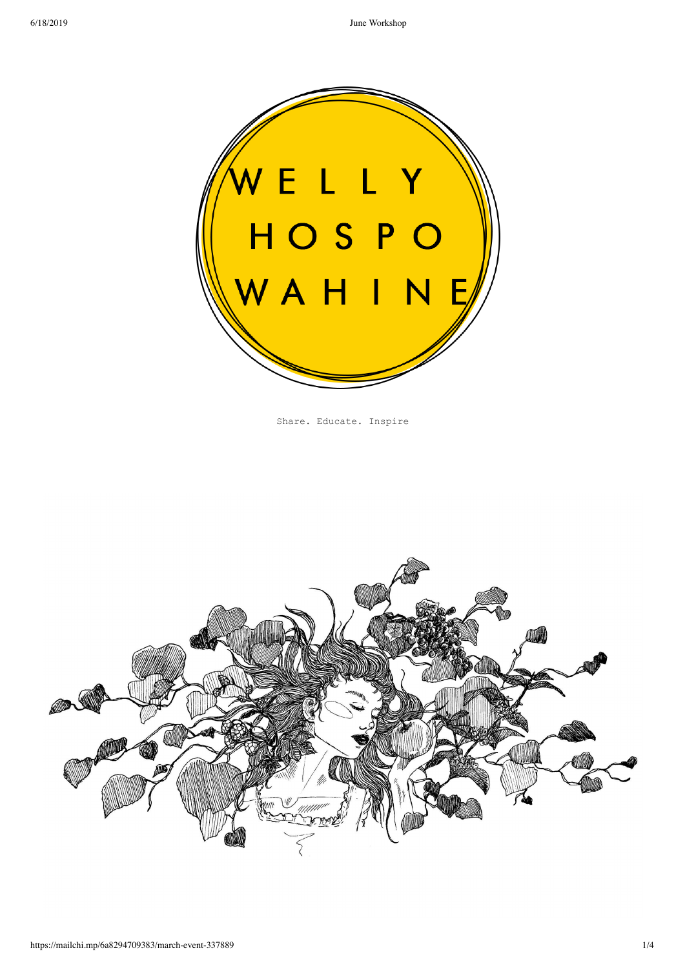

Share. Educate. Inspire

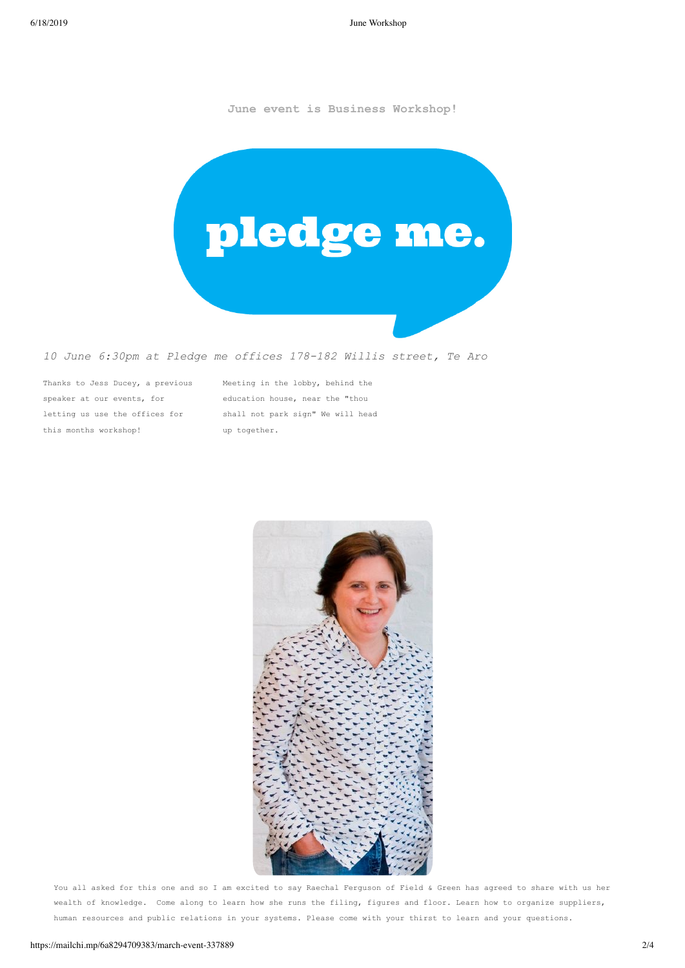6/18/2019 June Workshop

**June event is Business Workshop!**



## *10 June 6:30pm at Pledge me offices 178182 Willis street, Te Aro*

Thanks to Jess Ducey, a previous speaker at our events, for letting us use the offices for this months workshop!

Meeting in the lobby, behind the education house, near the "thou shall not park sign" We will head up together.



You all asked for this one and so I am excited to say Raechal Ferguson of Field & Green has agreed to share with us her wealth of knowledge. Come along to learn how she runs the filing, figures and floor. Learn how to organize suppliers, human resources and public relations in your systems. Please come with your thirst to learn and your questions.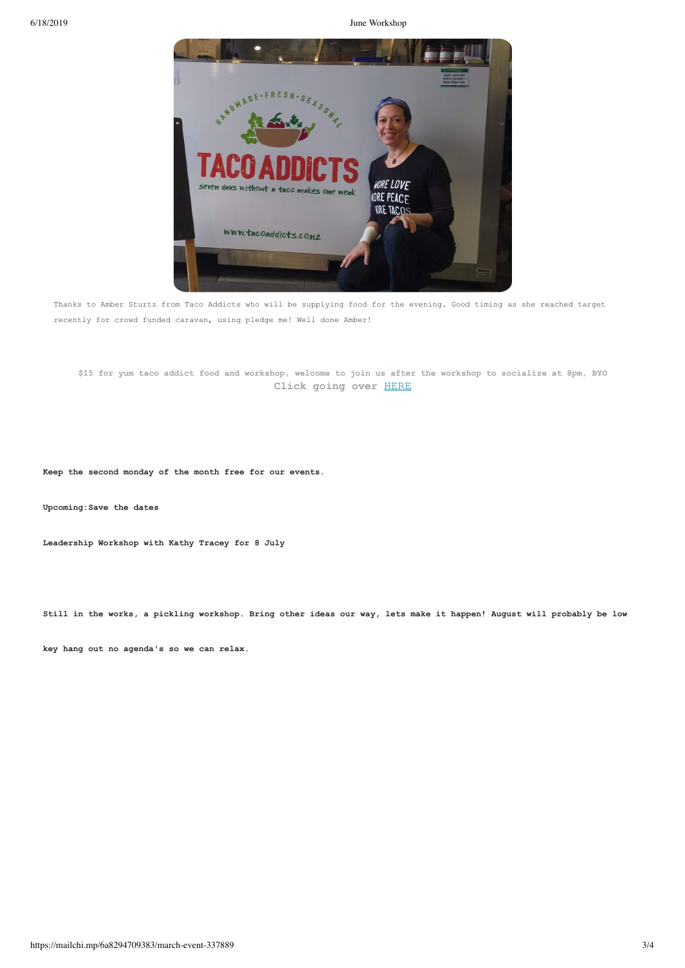6/18/2019 June Workshop



Thanks to Amber Sturtz from Taco Addicts who will be supplying food for the evening. Good timing as she reached target recently for crowd funded caravan, using pledge me! Well done Amber!

**\$15 for yum taco addict food and workshop, welcome to join us after the workshop to socialize at 8pm, BYO Click going over** HERE

**Keep the second monday of the month free for our events.**

**Upcoming:Save the dates**

**Leadership Workshop with Kathy Tracey for 8 July**

**Still in the works, a pickling workshop. Bring other ideas our way, lets make it happen! August will probably be low**

**key hang out no agenda's so we can relax.**